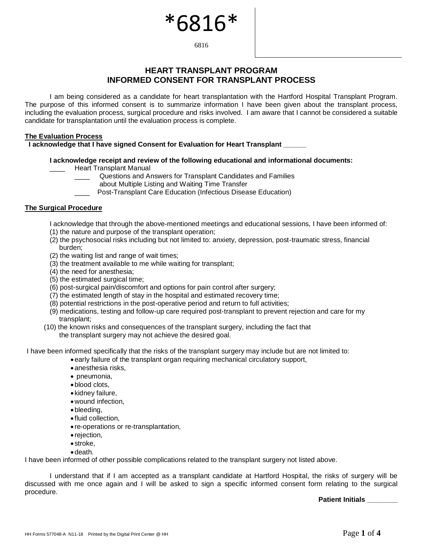# \*6816\*

6816

## **HEART TRANSPLANT PROGRAM INFORMED CONSENT FOR TRANSPLANT PROCESS**

I am being considered as a candidate for heart transplantation with the Hartford Hospital Transplant Program. The purpose of this informed consent is to summarize information I have been given about the transplant process, including the evaluation process, surgical procedure and risks involved. I am aware that I cannot be considered a suitable candidate for transplantation until the evaluation process is complete.

## **The Evaluation Process**

**I acknowledge that I have signed Consent for Evaluation for Heart Transplant \_\_\_\_\_\_**

## **I acknowledge receipt and review of the following educational and informational documents:**

Heart Transplant Manual

- \_\_\_\_ Questions and Answers for Transplant Candidates and Families
	- about Multiple Listing and Waiting Time Transfer
- Post-Transplant Care Education (Infectious Disease Education)

## **The Surgical Procedure**

- I acknowledge that through the above-mentioned meetings and educational sessions, I have been informed of:
- (1) the nature and purpose of the transplant operation;
- (2) the psychosocial risks including but not limited to: anxiety, depression, post-traumatic stress, financial burden;
- (2) the waiting list and range of wait times;
- (3) the treatment available to me while waiting for transplant;
- (4) the need for anesthesia;
- (5) the estimated surgical time;
- (6) post-surgical pain/discomfort and options for pain control after surgery;
- (7) the estimated length of stay in the hospital and estimated recovery time;
- (8) potential restrictions in the post-operative period and return to full activities;
- (9) medications, testing and follow-up care required post-transplant to prevent rejection and care for my transplant;
- (10) the known risks and consequences of the transplant surgery, including the fact that the transplant surgery may not achieve the desired goal.

I have been informed specifically that the risks of the transplant surgery may include but are not limited to:

- •early failure of the transplant organ requiring mechanical circulatory support,
- •anesthesia risks,
- pneumonia,
- •blood clots,
- kidney failure,
- •wound infection,
- •bleeding,
- fluid collection,
- re-operations or re-transplantation,
- rejection,
- stroke,
- •death.

I have been informed of other possible complications related to the transplant surgery not listed above.

I understand that if I am accepted as a transplant candidate at Hartford Hospital, the risks of surgery will be discussed with me once again and I will be asked to sign a specific informed consent form relating to the surgical procedure.

**Patient Initials \_\_\_\_\_\_\_\_**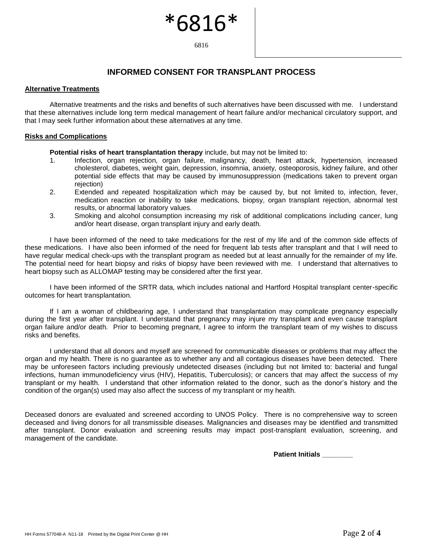## **INFORMED CONSENT FOR TRANSPLANT PROCESS**

\*6816\*

6816

#### **Alternative Treatments**

Alternative treatments and the risks and benefits of such alternatives have been discussed with me. I understand that these alternatives include long term medical management of heart failure and/or mechanical circulatory support, and that I may seek further information about these alternatives at any time.

#### **Risks and Complications**

**Potential risks of heart transplantation therapy** include, but may not be limited to:

- 1. Infection, organ rejection, organ failure, malignancy, death, heart attack, hypertension, increased cholesterol, diabetes, weight gain, depression, insomnia, anxiety, osteoporosis, kidney failure, and other potential side effects that may be caused by immunosuppression (medications taken to prevent organ rejection)
- 2. Extended and repeated hospitalization which may be caused by, but not limited to, infection, fever, medication reaction or inability to take medications, biopsy, organ transplant rejection, abnormal test results, or abnormal laboratory values.
- 3. Smoking and alcohol consumption increasing my risk of additional complications including cancer, lung and/or heart disease, organ transplant injury and early death.

I have been informed of the need to take medications for the rest of my life and of the common side effects of these medications. I have also been informed of the need for frequent lab tests after transplant and that I will need to have regular medical check-ups with the transplant program as needed but at least annually for the remainder of my life. The potential need for heart biopsy and risks of biopsy have been reviewed with me. I understand that alternatives to heart biopsy such as ALLOMAP testing may be considered after the first year.

I have been informed of the SRTR data, which includes national and Hartford Hospital transplant center-specific outcomes for heart transplantation.

If I am a woman of childbearing age, I understand that transplantation may complicate pregnancy especially during the first year after transplant. I understand that pregnancy may injure my transplant and even cause transplant organ failure and/or death. Prior to becoming pregnant, I agree to inform the transplant team of my wishes to discuss risks and benefits.

I understand that all donors and myself are screened for communicable diseases or problems that may affect the organ and my health. There is no guarantee as to whether any and all contagious diseases have been detected. There may be unforeseen factors including previously undetected diseases (including but not limited to: bacterial and fungal infections, human immunodeficiency virus (HIV), Hepatitis, Tuberculosis); or cancers that may affect the success of my transplant or my health. I understand that other information related to the donor, such as the donor's history and the condition of the organ(s) used may also affect the success of my transplant or my health.

Deceased donors are evaluated and screened according to UNOS Policy. There is no comprehensive way to screen deceased and living donors for all transmissible diseases. Malignancies and diseases may be identified and transmitted after transplant. Donor evaluation and screening results may impact post-transplant evaluation, screening, and management of the candidate.

**Patient Initials \_\_\_\_\_\_\_\_**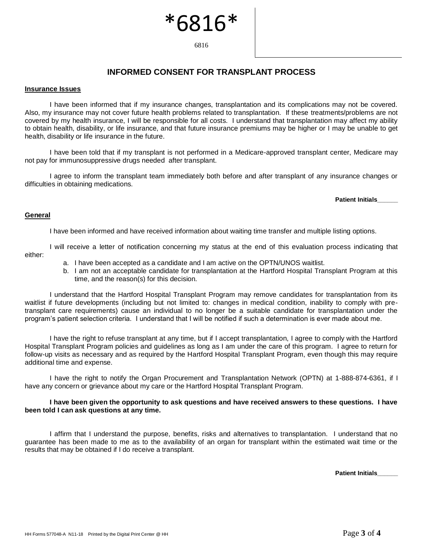# \*6816\*

6816

## **INFORMED CONSENT FOR TRANSPLANT PROCESS**

#### **Insurance Issues**

I have been informed that if my insurance changes, transplantation and its complications may not be covered. Also, my insurance may not cover future health problems related to transplantation. If these treatments/problems are not covered by my health insurance, I will be responsible for all costs. I understand that transplantation may affect my ability to obtain health, disability, or life insurance, and that future insurance premiums may be higher or I may be unable to get health, disability or life insurance in the future.

I have been told that if my transplant is not performed in a Medicare-approved transplant center, Medicare may not pay for immunosuppressive drugs needed after transplant.

I agree to inform the transplant team immediately both before and after transplant of any insurance changes or difficulties in obtaining medications.

**Patient Initials\_\_\_\_\_\_**

### **General**

I have been informed and have received information about waiting time transfer and multiple listing options.

I will receive a letter of notification concerning my status at the end of this evaluation process indicating that either:

- a. I have been accepted as a candidate and I am active on the OPTN/UNOS waitlist.
- b. I am not an acceptable candidate for transplantation at the Hartford Hospital Transplant Program at this time, and the reason(s) for this decision.

I understand that the Hartford Hospital Transplant Program may remove candidates for transplantation from its waitlist if future developments (including but not limited to: changes in medical condition, inability to comply with pretransplant care requirements) cause an individual to no longer be a suitable candidate for transplantation under the program's patient selection criteria. I understand that I will be notified if such a determination is ever made about me.

I have the right to refuse transplant at any time, but if I accept transplantation, I agree to comply with the Hartford Hospital Transplant Program policies and guidelines as long as I am under the care of this program. I agree to return for follow-up visits as necessary and as required by the Hartford Hospital Transplant Program, even though this may require additional time and expense.

I have the right to notify the Organ Procurement and Transplantation Network (OPTN) at 1-888-874-6361, if I have any concern or grievance about my care or the Hartford Hospital Transplant Program.

### **I have been given the opportunity to ask questions and have received answers to these questions. I have been told I can ask questions at any time.**

I affirm that I understand the purpose, benefits, risks and alternatives to transplantation. I understand that no guarantee has been made to me as to the availability of an organ for transplant within the estimated wait time or the results that may be obtained if I do receive a transplant.

**Patient Initials\_\_\_\_\_\_**